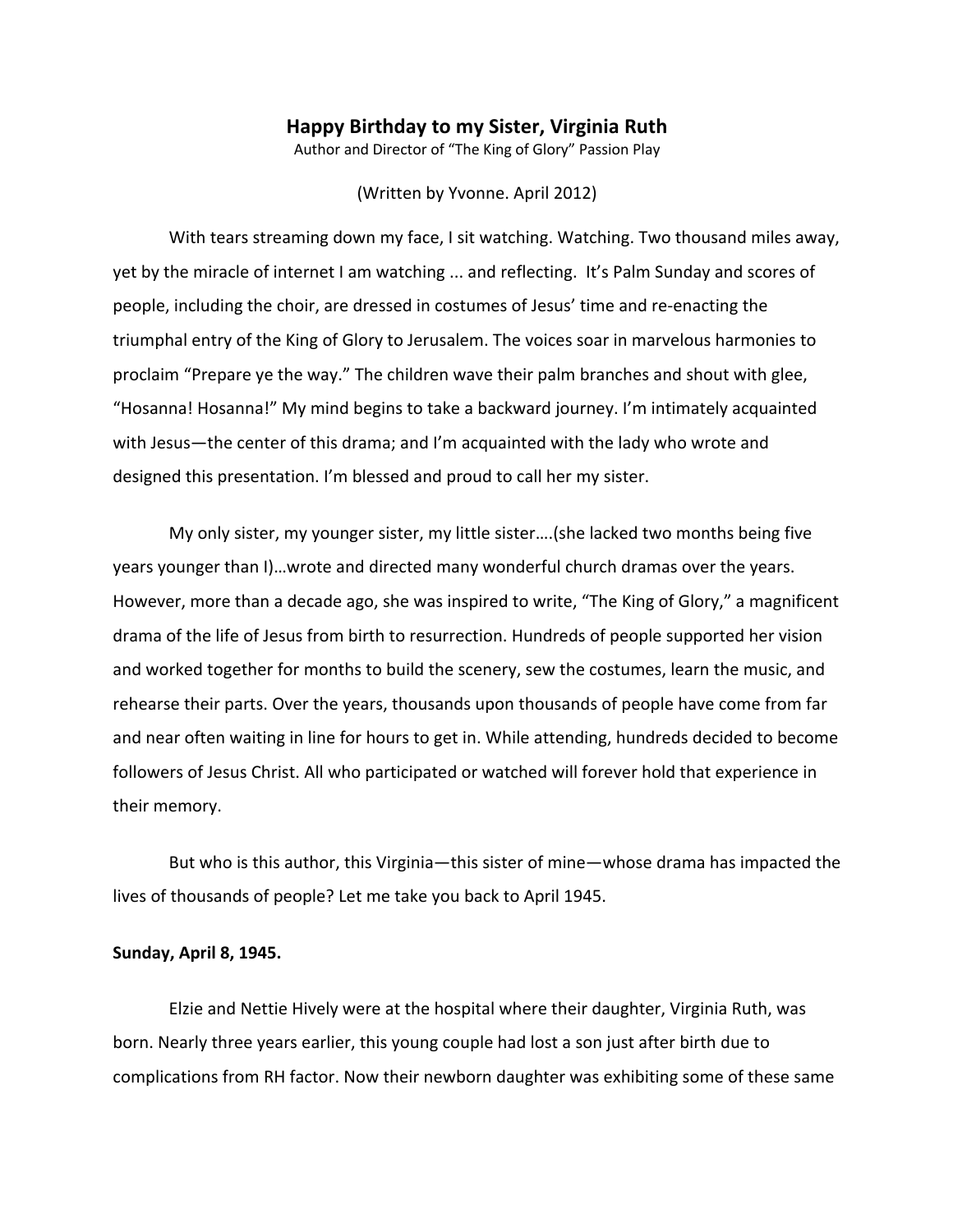## **Happy Birthday to my Sister, Virginia Ruth**

Author and Director of "The King of Glory" Passion Play

(Written by Yvonne. April 2012)

With tears streaming down my face, I sit watching. Watching. Two thousand miles away, yet by the miracle of internet I am watching ... and reflecting. It's Palm Sunday and scores of people, including the choir, are dressed in costumes of Jesus' time and re-enacting the triumphal entry of the King of Glory to Jerusalem. The voices soar in marvelous harmonies to proclaim "Prepare ye the way." The children wave their palm branches and shout with glee, "Hosanna! Hosanna!" My mind begins to take a backward journey. I'm intimately acquainted with Jesus—the center of this drama; and I'm acquainted with the lady who wrote and designed this presentation. I'm blessed and proud to call her my sister.

My only sister, my younger sister, my little sister….(she lacked two months being five years younger than I)…wrote and directed many wonderful church dramas over the years. However, more than a decade ago, she was inspired to write, "The King of Glory," a magnificent drama of the life of Jesus from birth to resurrection. Hundreds of people supported her vision and worked together for months to build the scenery, sew the costumes, learn the music, and rehearse their parts. Over the years, thousands upon thousands of people have come from far and near often waiting in line for hours to get in. While attending, hundreds decided to become followers of Jesus Christ. All who participated or watched will forever hold that experience in their memory.

But who is this author, this Virginia—this sister of mine—whose drama has impacted the lives of thousands of people? Let me take you back to April 1945.

## **Sunday, April 8, 1945.**

Elzie and Nettie Hively were at the hospital where their daughter, Virginia Ruth, was born. Nearly three years earlier, this young couple had lost a son just after birth due to complications from RH factor. Now their newborn daughter was exhibiting some of these same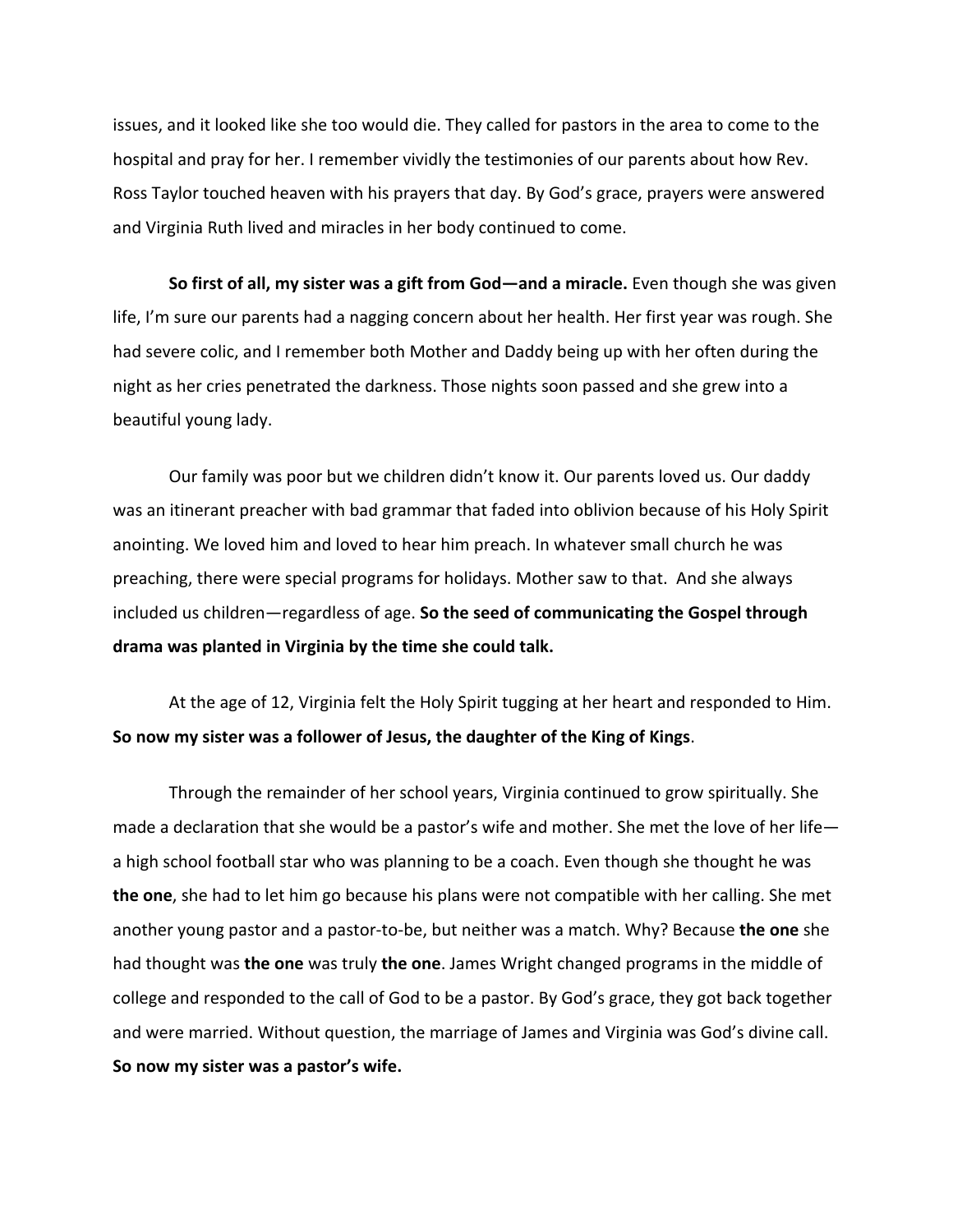issues, and it looked like she too would die. They called for pastors in the area to come to the hospital and pray for her. I remember vividly the testimonies of our parents about how Rev. Ross Taylor touched heaven with his prayers that day. By God's grace, prayers were answered and Virginia Ruth lived and miracles in her body continued to come.

**So first of all, my sister was a gift from God—and a miracle.** Even though she was given life, I'm sure our parents had a nagging concern about her health. Her first year was rough. She had severe colic, and I remember both Mother and Daddy being up with her often during the night as her cries penetrated the darkness. Those nights soon passed and she grew into a beautiful young lady.

Our family was poor but we children didn't know it. Our parents loved us. Our daddy was an itinerant preacher with bad grammar that faded into oblivion because of his Holy Spirit anointing. We loved him and loved to hear him preach. In whatever small church he was preaching, there were special programs for holidays. Mother saw to that. And she always included us children—regardless of age. **So the seed of communicating the Gospel through drama was planted in Virginia by the time she could talk.**

At the age of 12, Virginia felt the Holy Spirit tugging at her heart and responded to Him. **So now my sister was a follower of Jesus, the daughter of the King of Kings**.

Through the remainder of her school years, Virginia continued to grow spiritually. She made a declaration that she would be a pastor's wife and mother. She met the love of her life a high school football star who was planning to be a coach. Even though she thought he was **the one**, she had to let him go because his plans were not compatible with her calling. She met another young pastor and a pastor-to-be, but neither was a match. Why? Because **the one** she had thought was **the one** was truly **the one**. James Wright changed programs in the middle of college and responded to the call of God to be a pastor. By God's grace, they got back together and were married. Without question, the marriage of James and Virginia was God's divine call. **So now my sister was a pastor's wife.**